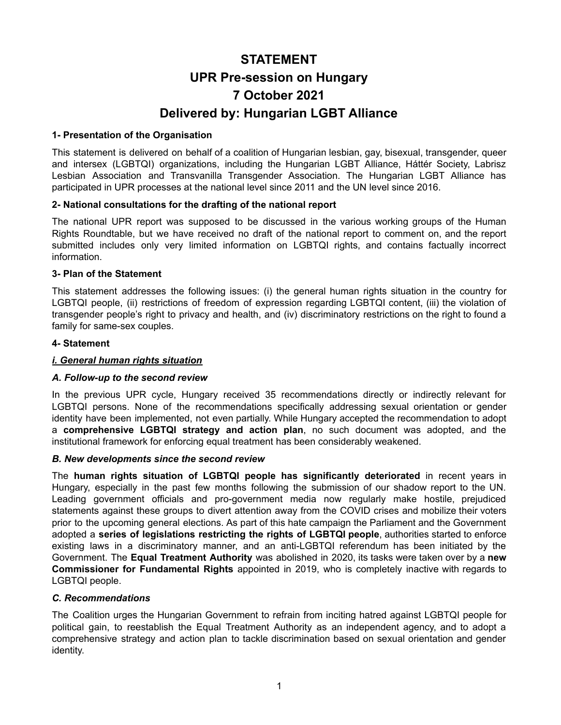# **STATEMENT UPR Pre-session on Hungary 7 October 2021 Delivered by: Hungarian LGBT Alliance**

# **1- Presentation of the Organisation**

This statement is delivered on behalf of a coalition of Hungarian lesbian, gay, bisexual, transgender, queer and intersex (LGBTQI) organizations, including the Hungarian LGBT Alliance, Háttér Society, Labrisz Lesbian Association and Transvanilla Transgender Association. The Hungarian LGBT Alliance has participated in UPR processes at the national level since 2011 and the UN level since 2016.

# **2- National consultations for the drafting of the national report**

The national UPR report was supposed to be discussed in the various working groups of the Human Rights Roundtable, but we have received no draft of the national report to comment on, and the report submitted includes only very limited information on LGBTQI rights, and contains factually incorrect information.

# **3- Plan of the Statement**

This statement addresses the following issues: (i) the general human rights situation in the country for LGBTQI people, (ii) restrictions of freedom of expression regarding LGBTQI content, (iii) the violation of transgender people's right to privacy and health, and (iv) discriminatory restrictions on the right to found a family for same-sex couples.

#### **4- Statement**

## *i. General human rights situation*

# *A. Follow-up to the second review*

In the previous UPR cycle, Hungary received 35 recommendations directly or indirectly relevant for LGBTQI persons. None of the recommendations specifically addressing sexual orientation or gender identity have been implemented, not even partially. While Hungary accepted the recommendation to adopt a **comprehensive LGBTQI strategy and action plan**, no such document was adopted, and the institutional framework for enforcing equal treatment has been considerably weakened.

#### *B. New developments since the second review*

The **human rights situation of LGBTQI people has significantly deteriorated** in recent years in Hungary, especially in the past few months following the submission of our shadow report to the UN. Leading government officials and pro-government media now regularly make hostile, prejudiced statements against these groups to divert attention away from the COVID crises and mobilize their voters prior to the upcoming general elections. As part of this hate campaign the Parliament and the Government adopted a **series of legislations restricting the rights of LGBTQI people**, authorities started to enforce existing laws in a discriminatory manner, and an anti-LGBTQI referendum has been initiated by the Government. The **Equal Treatment Authority** was abolished in 2020, its tasks were taken over by a **new Commissioner for Fundamental Rights** appointed in 2019, who is completely inactive with regards to LGBTQI people.

# *C. Recommendations*

The Coalition urges the Hungarian Government to refrain from inciting hatred against LGBTQI people for political gain, to reestablish the Equal Treatment Authority as an independent agency, and to adopt a comprehensive strategy and action plan to tackle discrimination based on sexual orientation and gender identity.